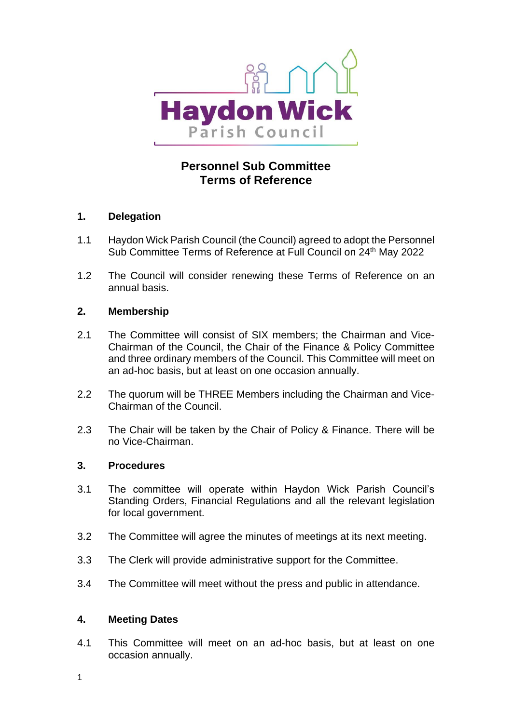

# **Personnel Sub Committee Terms of Reference**

## **1. Delegation**

- 1.1 Haydon Wick Parish Council (the Council) agreed to adopt the Personnel Sub Committee Terms of Reference at Full Council on 24<sup>th</sup> May 2022
- 1.2 The Council will consider renewing these Terms of Reference on an annual basis.

### **2. Membership**

- 2.1 The Committee will consist of SIX members; the Chairman and Vice-Chairman of the Council, the Chair of the Finance & Policy Committee and three ordinary members of the Council. This Committee will meet on an ad-hoc basis, but at least on one occasion annually.
- 2.2 The quorum will be THREE Members including the Chairman and Vice-Chairman of the Council.
- 2.3 The Chair will be taken by the Chair of Policy & Finance. There will be no Vice-Chairman.

## **3. Procedures**

- 3.1 The committee will operate within Haydon Wick Parish Council's Standing Orders, Financial Regulations and all the relevant legislation for local government.
- 3.2 The Committee will agree the minutes of meetings at its next meeting.
- 3.3 The Clerk will provide administrative support for the Committee.
- 3.4 The Committee will meet without the press and public in attendance.

### **4. Meeting Dates**

4.1 This Committee will meet on an ad-hoc basis, but at least on one occasion annually.